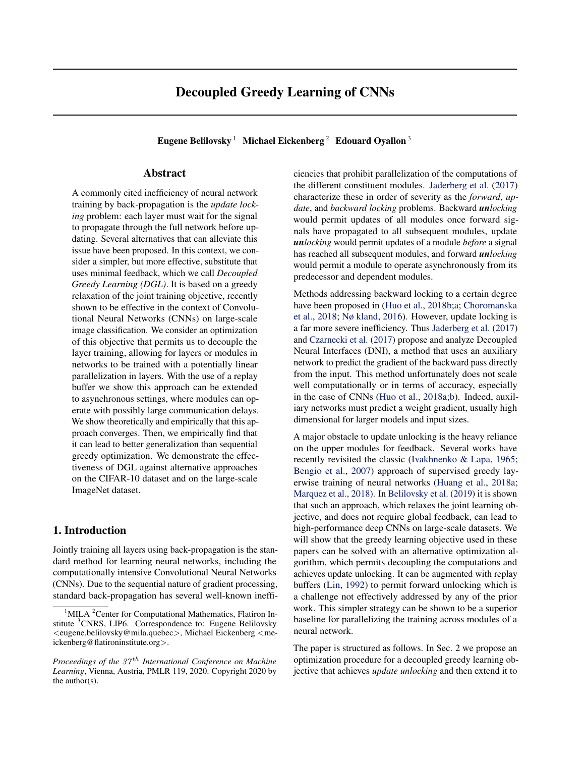# Decoupled Greedy Learning of CNNs

Eugene Belilovsky<sup>1</sup> Michael Eickenberg<sup>2</sup> Edouard Oyallon<sup>3</sup>

### Abstract

A commonly cited inefficiency of neural network training by back-propagation is the *update locking* problem: each layer must wait for the signal to propagate through the full network before updating. Several alternatives that can alleviate this issue have been proposed. In this context, we consider a simpler, but more effective, substitute that uses minimal feedback, which we call *Decoupled Greedy Learning (DGL)*. It is based on a greedy relaxation of the joint training objective, recently shown to be effective in the context of Convolutional Neural Networks (CNNs) on large-scale image classification. We consider an optimization of this objective that permits us to decouple the layer training, allowing for layers or modules in networks to be trained with a potentially linear parallelization in layers. With the use of a replay buffer we show this approach can be extended to asynchronous settings, where modules can operate with possibly large communication delays. We show theoretically and empirically that this approach converges. Then, we empirically find that it can lead to better generalization than sequential greedy optimization. We demonstrate the effectiveness of DGL against alternative approaches on the CIFAR-10 dataset and on the large-scale ImageNet dataset.

# 1. Introduction

Jointly training all layers using back-propagation is the standard method for learning neural networks, including the computationally intensive Convolutional Neural Networks (CNNs). Due to the sequential nature of gradient processing, standard back-propagation has several well-known inefficiencies that prohibit parallelization of the computations of the different constituent modules. [Jaderberg et al.](#page-8-0) [\(2017\)](#page-8-0) characterize these in order of severity as the *forward*, *update*, and *backward locking* problems. Backward *unlocking* would permit updates of all modules once forward signals have propagated to all subsequent modules, update *unlocking* would permit updates of a module *before* a signal has reached all subsequent modules, and forward *unlocking* would permit a module to operate asynchronously from its predecessor and dependent modules.

Methods addressing backward locking to a certain degree have been proposed in [\(Huo et al.,](#page-8-0) [2018b;a;](#page-8-0) [Choromanska](#page-8-0) [et al.,](#page-8-0) [2018;](#page-8-0) [Nø kland,](#page-9-0) [2016\)](#page-9-0). However, update locking is a far more severe inefficiency. Thus [Jaderberg et al.](#page-8-0) [\(2017\)](#page-8-0) and [Czarnecki et al.](#page-8-0) [\(2017\)](#page-8-0) propose and analyze Decoupled Neural Interfaces (DNI), a method that uses an auxiliary network to predict the gradient of the backward pass directly from the input. This method unfortunately does not scale well computationally or in terms of accuracy, especially in the case of CNNs [\(Huo et al.,](#page-8-0) [2018a;b\)](#page-8-0). Indeed, auxiliary networks must predict a weight gradient, usually high dimensional for larger models and input sizes.

A major obstacle to update unlocking is the heavy reliance on the upper modules for feedback. Several works have recently revisited the classic [\(Ivakhnenko & Lapa,](#page-8-0) [1965;](#page-8-0) [Bengio et al.,](#page-8-0) [2007\)](#page-8-0) approach of supervised greedy layerwise training of neural networks [\(Huang et al.,](#page-8-0) [2018a;](#page-8-0) [Marquez et al.,](#page-9-0) [2018\)](#page-9-0). In [Belilovsky et al.](#page-8-0) [\(2019\)](#page-8-0) it is shown that such an approach, which relaxes the joint learning objective, and does not require global feedback, can lead to high-performance deep CNNs on large-scale datasets. We will show that the greedy learning objective used in these papers can be solved with an alternative optimization algorithm, which permits decoupling the computations and achieves update unlocking. It can be augmented with replay buffers [\(Lin,](#page-9-0) [1992\)](#page-9-0) to permit forward unlocking which is a challenge not effectively addressed by any of the prior work. This simpler strategy can be shown to be a superior baseline for parallelizing the training across modules of a neural network.

The paper is structured as follows. In Sec. 2 we propose an optimization procedure for a decoupled greedy learning objective that achieves *update unlocking* and then extend it to

 $1$ MILA <sup>2</sup>Center for Computational Mathematics, Flatiron Institute <sup>3</sup>CNRS, LIP6. Correspondence to: Eugene Belilovsky <eugene.belilovsky@mila.quebec>, Michael Eickenberg <meickenberg@flatironinstitute.org>.

*Proceedings of the 37<sup>th</sup> International Conference on Machine Learning*, Vienna, Austria, PMLR 119, 2020. Copyright 2020 by the author(s).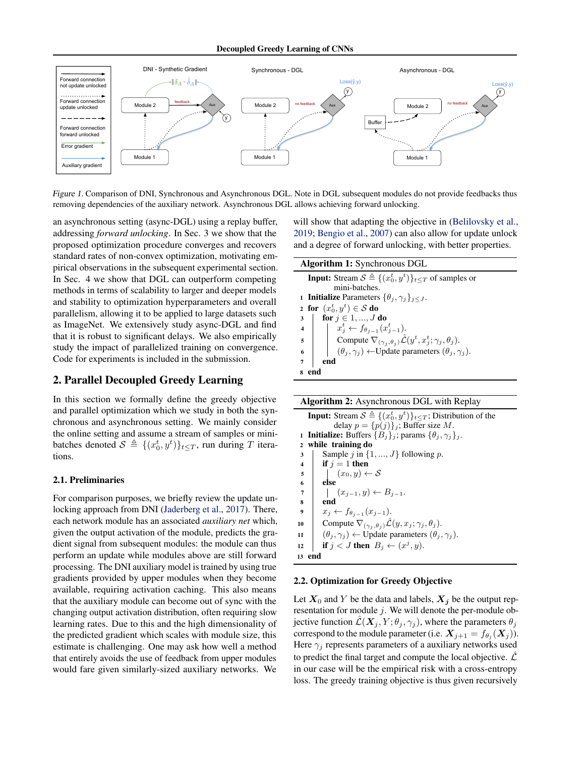<span id="page-1-0"></span>

Figure 1. Comparison of DNI, Synchronous and Asynchronous DGL. Note in DGL subsequent modules do not provide feedbacks thus removing dependencies of the auxiliary network. Asynchronous DGL allows achieving forward unlocking.

an asynchronous setting (async-DGL) using a replay buffer, addressing *forward unlocking*. In Sec. 3 we show that the proposed optimization procedure converges and recovers standard rates of non-convex optimization, motivating empirical observations in the subsequent experimental section. In Sec. 4 we show that DGL can outperform competing methods in terms of scalability to larger and deeper models and stability to optimization hyperparameters and overall parallelism, allowing it to be applied to large datasets such as ImageNet. We extensively study async-DGL and find that it is robust to significant delays. We also empirically study the impact of parallelized training on convergence. Code for experiments is included in the submission.

### 2. Parallel Decoupled Greedy Learning

In this section we formally define the greedy objective and parallel optimization which we study in both the synchronous and asynchronous setting. We mainly consider the online setting and assume a stream of samples or minibatches denoted  $S \triangleq \{(x_0^t, y^t)\}_{t \leq T}$ , run during T iterations.

#### 2.1. Preliminaries

For comparison purposes, we briefly review the update unlocking approach from DNI [\(Jaderberg et al.,](#page-8-0) [2017\)](#page-8-0). There, each network module has an associated *auxiliary net* which, given the output activation of the module, predicts the gradient signal from subsequent modules: the module can thus perform an update while modules above are still forward processing. The DNI auxiliary model is trained by using true gradients provided by upper modules when they become available, requiring activation caching. This also means that the auxiliary module can become out of sync with the changing output activation distribution, often requiring slow learning rates. Due to this and the high dimensionality of the predicted gradient which scales with module size, this estimate is challenging. One may ask how well a method that entirely avoids the use of feedback from upper modules would fare given similarly-sized auxiliary networks. We

will show that adapting the objective in [\(Belilovsky et al.,](#page-8-0) [2019;](#page-8-0) [Bengio et al.,](#page-8-0) [2007\)](#page-8-0) can also allow for update unlock and a degree of forward unlocking, with better properties.

| Algorithm 1: Synchronous DGL                                                                                                                                                                                                                                                                                                                                                                                                                          |
|-------------------------------------------------------------------------------------------------------------------------------------------------------------------------------------------------------------------------------------------------------------------------------------------------------------------------------------------------------------------------------------------------------------------------------------------------------|
| <b>Input:</b> Stream $S \triangleq \{(x_0^t, y^t)\}_{t \leq T}$ of samples or                                                                                                                                                                                                                                                                                                                                                                         |
| mini-batches.                                                                                                                                                                                                                                                                                                                                                                                                                                         |
| <b>1 Initialize</b> Parameters $\{\theta_i, \gamma_i\}_{i \leq J}$ .                                                                                                                                                                                                                                                                                                                                                                                  |
| 2 for $(x_0^t, y^t) \in S$ do                                                                                                                                                                                                                                                                                                                                                                                                                         |
| for $j \in 1, , J$ do                                                                                                                                                                                                                                                                                                                                                                                                                                 |
| 3<br>4<br>$\begin{array}{ c c c c }\n\hline\n\text{for } j \in 1, , & \text{if} & \text{if} & \text{if} & \text{if} & \text{if} & \text{if} & \text{if} & \text{if} & \text{if} & \text{if} & \text{if} & \text{if} & \text{if} & \text{if} & \text{if} & \text{if} & \text{if} & \text{if} & \text{if} & \text{if} & \text{if} & \text{if} & \text{if} & \text{if} & \text{if} & \text{if} & \text{if} & \text{if} & \text{if} & \text{if} & \text{$ |
| $\begin{array}{c c} 5 & \\ 6 & \end{array}$<br>Compute $\nabla_{(\gamma_j,\theta_j)}\hat{\mathcal{L}}(y^t,x_j^t;\gamma_j,\theta_j)$ .                                                                                                                                                                                                                                                                                                                 |
| $(\theta_i, \gamma_i) \leftarrow \text{Update parameters } (\theta_i, \gamma_i).$                                                                                                                                                                                                                                                                                                                                                                     |
| end                                                                                                                                                                                                                                                                                                                                                                                                                                                   |
|                                                                                                                                                                                                                                                                                                                                                                                                                                                       |

|  | Algorithm 2: Asynchronous DGL with Replay |  |  |
|--|-------------------------------------------|--|--|
|  |                                           |  |  |

**Input:** Stream  $S \triangleq \{(x_0^t, y^t)\}_{t \leq T}$ ; Distribution of the delay  $p = \{p(j)\}_j$ ; Buffer size M. 1 **Initialize:** Buffers  ${B_j}_j$ ; params  ${\theta_j, \gamma_j}_j$ . <sup>2</sup> while training do 3 Sample *i* in  $\{1, ..., J\}$  following *p*. 4 if  $j = 1$  then 5  $(x_0, y) \leftarrow S$ <sup>6</sup> else 7  $(x_{j-1}, y) \leftarrow B_{j-1}.$ <sup>8</sup> end 9  $x_j \leftarrow f_{\theta_{j-1}}(x_{j-1}).$ 10 Compute  $\nabla_{(\gamma_j, \theta_j)} \mathcal{L}(y, x_j; \gamma_j, \theta_j)$ . 11  $(\theta_j, \gamma_j) \leftarrow \text{Update parameters } (\theta_j, \gamma_j).$ 12 **if**  $j < J$  then  $B_j \leftarrow (x^j, y)$ . <sup>13</sup> end

#### 2.2. Optimization for Greedy Objective

Let  $X_0$  and Y be the data and labels,  $X_j$  be the output representation for module  $j$ . We will denote the per-module objective function  $\mathcal{L}(\boldsymbol{X}_i, Y; \theta_i, \gamma_i)$ , where the parameters  $\theta_i$ correspond to the module parameter (i.e.  $\boldsymbol{X}_{j+1} = f_{\theta_j}(\boldsymbol{X}_{j})).$ Here  $\gamma_i$  represents parameters of a auxiliary networks used to predict the final target and compute the local objective.  $\mathcal{L}$ in our case will be the empirical risk with a cross-entropy loss. The greedy training objective is thus given recursively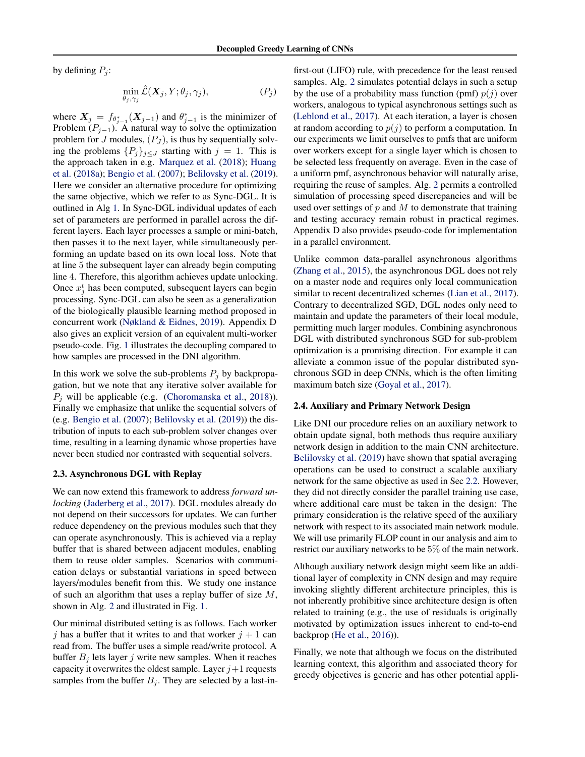by defining  $P_i$ :

$$
\min_{\theta_j, \gamma_j} \hat{\mathcal{L}}(\boldsymbol{X}_j, Y; \theta_j, \gamma_j), \tag{P_j}
$$

where  $X_j = f_{\theta_{j-1}^*}(X_{j-1})$  and  $\theta_{j-1}^*$  is the minimizer of Problem  $(P_{j-1})$ . A natural way to solve the optimization problem for J modules,  $(P_J)$ , is thus by sequentially solving the problems  $\{P_j\}_{j\leq J}$  starting with  $j = 1$ . This is the approach taken in e.g. [Marquez et al.](#page-9-0) [\(2018\)](#page-9-0); [Huang](#page-8-0) [et al.](#page-8-0) [\(2018a\)](#page-8-0); [Bengio et al.](#page-8-0) [\(2007\)](#page-8-0); [Belilovsky et al.](#page-8-0) [\(2019\)](#page-8-0). Here we consider an alternative procedure for optimizing the same objective, which we refer to as Sync-DGL. It is outlined in Alg [1.](#page-1-0) In Sync-DGL individual updates of each set of parameters are performed in parallel across the different layers. Each layer processes a sample or mini-batch, then passes it to the next layer, while simultaneously performing an update based on its own local loss. Note that at line 5 the subsequent layer can already begin computing line 4. Therefore, this algorithm achieves update unlocking. Once  $x_j^t$  has been computed, subsequent layers can begin processing. Sync-DGL can also be seen as a generalization of the biologically plausible learning method proposed in concurrent work [\(Nøkland & Eidnes,](#page-9-0) [2019\)](#page-9-0). Appendix D also gives an explicit version of an equivalent multi-worker pseudo-code. Fig. [1](#page-1-0) illustrates the decoupling compared to how samples are processed in the DNI algorithm.

In this work we solve the sub-problems  $P_i$  by backpropagation, but we note that any iterative solver available for  $P_i$  will be applicable (e.g. [\(Choromanska et al.,](#page-8-0) [2018\)](#page-8-0)). Finally we emphasize that unlike the sequential solvers of (e.g. [Bengio et al.](#page-8-0) [\(2007\)](#page-8-0); [Belilovsky et al.](#page-8-0) [\(2019\)](#page-8-0)) the distribution of inputs to each sub-problem solver changes over time, resulting in a learning dynamic whose properties have never been studied nor contrasted with sequential solvers.

#### 2.3. Asynchronous DGL with Replay

We can now extend this framework to address *forward unlocking* [\(Jaderberg et al.,](#page-8-0) [2017\)](#page-8-0). DGL modules already do not depend on their successors for updates. We can further reduce dependency on the previous modules such that they can operate asynchronously. This is achieved via a replay buffer that is shared between adjacent modules, enabling them to reuse older samples. Scenarios with communication delays or substantial variations in speed between layers/modules benefit from this. We study one instance of such an algorithm that uses a replay buffer of size M, shown in Alg. [2](#page-1-0) and illustrated in Fig. [1.](#page-1-0)

Our minimal distributed setting is as follows. Each worker j has a buffer that it writes to and that worker  $j + 1$  can read from. The buffer uses a simple read/write protocol. A buffer  $B_i$  lets layer j write new samples. When it reaches capacity it overwrites the oldest sample. Layer  $j+1$  requests samples from the buffer  $B_i$ . They are selected by a last-infirst-out (LIFO) rule, with precedence for the least reused samples. Alg. [2](#page-1-0) simulates potential delays in such a setup by the use of a probability mass function (pmf)  $p(j)$  over workers, analogous to typical asynchronous settings such as [\(Leblond et al.,](#page-8-0) [2017\)](#page-8-0). At each iteration, a layer is chosen at random according to  $p(j)$  to perform a computation. In our experiments we limit ourselves to pmfs that are uniform over workers except for a single layer which is chosen to be selected less frequently on average. Even in the case of a uniform pmf, asynchronous behavior will naturally arise, requiring the reuse of samples. Alg. [2](#page-1-0) permits a controlled simulation of processing speed discrepancies and will be used over settings of  $p$  and  $M$  to demonstrate that training and testing accuracy remain robust in practical regimes. Appendix D also provides pseudo-code for implementation in a parallel environment.

Unlike common data-parallel asynchronous algorithms [\(Zhang et al.,](#page-9-0) [2015\)](#page-9-0), the asynchronous DGL does not rely on a master node and requires only local communication similar to recent decentralized schemes [\(Lian et al.,](#page-9-0) [2017\)](#page-9-0). Contrary to decentralized SGD, DGL nodes only need to maintain and update the parameters of their local module, permitting much larger modules. Combining asynchronous DGL with distributed synchronous SGD for sub-problem optimization is a promising direction. For example it can alleviate a common issue of the popular distributed synchronous SGD in deep CNNs, which is the often limiting maximum batch size [\(Goyal et al.,](#page-8-0) [2017\)](#page-8-0).

#### 2.4. Auxiliary and Primary Network Design

Like DNI our procedure relies on an auxiliary network to obtain update signal, both methods thus require auxiliary network design in addition to the main CNN architecture. [Belilovsky et al.](#page-8-0) [\(2019\)](#page-8-0) have shown that spatial averaging operations can be used to construct a scalable auxiliary network for the same objective as used in Sec [2.2.](#page-1-0) However, they did not directly consider the parallel training use case, where additional care must be taken in the design: The primary consideration is the relative speed of the auxiliary network with respect to its associated main network module. We will use primarily FLOP count in our analysis and aim to restrict our auxiliary networks to be 5% of the main network.

Although auxiliary network design might seem like an additional layer of complexity in CNN design and may require invoking slightly different architecture principles, this is not inherently prohibitive since architecture design is often related to training (e.g., the use of residuals is originally motivated by optimization issues inherent to end-to-end backprop [\(He et al.,](#page-8-0) [2016\)](#page-8-0)).

Finally, we note that although we focus on the distributed learning context, this algorithm and associated theory for greedy objectives is generic and has other potential appli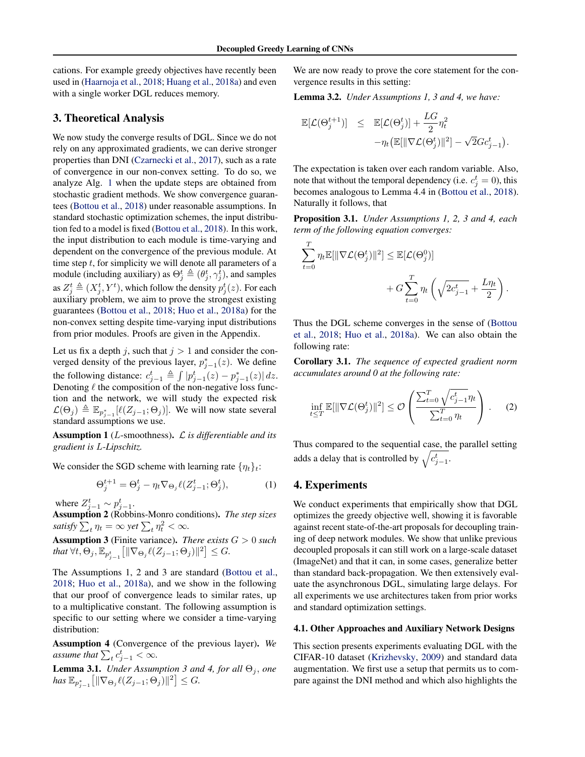<span id="page-3-0"></span>cations. For example greedy objectives have recently been used in [\(Haarnoja et al.,](#page-8-0) [2018;](#page-8-0) [Huang et al.,](#page-8-0) [2018a\)](#page-8-0) and even with a single worker DGL reduces memory.

### 3. Theoretical Analysis

We now study the converge results of DGL. Since we do not rely on any approximated gradients, we can derive stronger properties than DNI [\(Czarnecki et al.,](#page-8-0) [2017\)](#page-8-0), such as a rate of convergence in our non-convex setting. To do so, we analyze Alg. [1](#page-1-0) when the update steps are obtained from stochastic gradient methods. We show convergence guarantees [\(Bottou et al.,](#page-8-0) [2018\)](#page-8-0) under reasonable assumptions. In standard stochastic optimization schemes, the input distribution fed to a model is fixed [\(Bottou et al.,](#page-8-0) [2018\)](#page-8-0). In this work, the input distribution to each module is time-varying and dependent on the convergence of the previous module. At time step  $t$ , for simplicity we will denote all parameters of a module (including auxiliary) as  $\Theta_j^t \triangleq (\theta_j^t, \gamma_j^t)$ , and samples as  $Z_j^t \triangleq (X_j^t, Y^t)$ , which follow the density  $p_j^t(z)$ . For each auxiliary problem, we aim to prove the strongest existing guarantees [\(Bottou et al.,](#page-8-0) [2018;](#page-8-0) [Huo et al.,](#page-8-0) [2018a\)](#page-8-0) for the non-convex setting despite time-varying input distributions from prior modules. Proofs are given in the Appendix.

Let us fix a depth j, such that  $j > 1$  and consider the converged density of the previous layer,  $p_{j-1}^*(z)$ . We define the following distance:  $c_{j-1}^t \triangleq \int |p_{j-1}^t(z) - p_{j-1}^*(z)| dz$ . Denoting  $\ell$  the composition of the non-negative loss function and the network, we will study the expected risk  $\mathcal{L}(\Theta_j) \triangleq \mathbb{E}_{p_{j-1}^*}[\ell(Z_{j-1}; \Theta_j)].$  We will now state several standard assumptions we use.

Assumption 1 (L-smoothness). L *is differentiable and its gradient is* L*-Lipschitz.*

We consider the SGD scheme with learning rate  $\{\eta_t\}_t$ :

$$
\Theta_j^{t+1} = \Theta_j^t - \eta_t \nabla_{\Theta_j} \ell(Z_{j-1}^t; \Theta_j^t),\tag{1}
$$

where  $Z_{j-1}^t \sim p_{j-1}^t$ .

Assumption 2 (Robbins-Monro conditions). *The step sizes satisfy*  $\sum_{t} \eta_t = \infty$  *yet*  $\sum_{t} \eta_t^2 < \infty$ *.* 

Assumption 3 (Finite variance). *There exists* G > 0 *such* that  $\forall t, \Theta_j, \mathbb{E}_{p_{j-1}^t} \big[ \|\nabla_{\Theta_j} \ell(Z_{j-1}; \Theta_j) \|^2 \big] \leq G.$ 

The Assumptions 1, 2 and 3 are standard [\(Bottou et al.,](#page-8-0) [2018;](#page-8-0) [Huo et al.,](#page-8-0) [2018a\)](#page-8-0), and we show in the following that our proof of convergence leads to similar rates, up to a multiplicative constant. The following assumption is specific to our setting where we consider a time-varying distribution:

Assumption 4 (Convergence of the previous layer). *We assume that*  $\sum_{t} c_{j-1}^{t} < \infty$ *.* 

**Lemma 3.1.** *Under Assumption 3 and 4, for all*  $\Theta_i$ *, one*  $\textit{has } \mathbb{E}_{p_{j-1}^*}\big[\|\nabla_{\Theta_j}\ell(Z_{j-1};\Theta_j)\|^2\big] \leq G.$ 

We are now ready to prove the core statement for the convergence results in this setting:

Lemma 3.2. *Under Assumptions 1, 3 and 4, we have:*

$$
\mathbb{E}[\mathcal{L}(\Theta_j^{t+1})] \leq \mathbb{E}[\mathcal{L}(\Theta_j^{t})] + \frac{LG}{2} \eta_t^2
$$
  
-
$$
-\eta_t \big( \mathbb{E}[\|\nabla \mathcal{L}(\Theta_j^{t})\|^2] - \sqrt{2} G c_{j-1}^t \big).
$$

The expectation is taken over each random variable. Also, note that without the temporal dependency (i.e.  $c_j^t = 0$ ), this becomes analogous to Lemma 4.4 in [\(Bottou et al.,](#page-8-0) [2018\)](#page-8-0). Naturally it follows, that

Proposition 3.1. *Under Assumptions 1, 2, 3 and 4, each term of the following equation converges:*

$$
\sum_{t=0}^{T} \eta_t \mathbb{E}[\|\nabla \mathcal{L}(\Theta_j^t)\|^2] \leq \mathbb{E}[\mathcal{L}(\Theta_j^0)] + G \sum_{t=0}^{T} \eta_t \left(\sqrt{2c_{j-1}^t} + \frac{L\eta_t}{2}\right).
$$

Thus the DGL scheme converges in the sense of [\(Bottou](#page-8-0) [et al.,](#page-8-0) [2018;](#page-8-0) [Huo et al.,](#page-8-0) [2018a\)](#page-8-0). We can also obtain the following rate:

Corollary 3.1. *The sequence of expected gradient norm accumulates around 0 at the following rate:*

$$
\inf_{t \leq T} \mathbb{E}[\|\nabla \mathcal{L}(\Theta_j^t)\|^2] \leq \mathcal{O}\left(\frac{\sum_{t=0}^T \sqrt{c_{j-1}^t} \eta_t}{\sum_{t=0}^T \eta_t}\right). \tag{2}
$$

Thus compared to the sequential case, the parallel setting adds a delay that is controlled by  $\sqrt{c_{j-1}^t}$ .

### 4. Experiments

We conduct experiments that empirically show that DGL optimizes the greedy objective well, showing it is favorable against recent state-of-the-art proposals for decoupling training of deep network modules. We show that unlike previous decoupled proposals it can still work on a large-scale dataset (ImageNet) and that it can, in some cases, generalize better than standard back-propagation. We then extensively evaluate the asynchronous DGL, simulating large delays. For all experiments we use architectures taken from prior works and standard optimization settings.

#### 4.1. Other Approaches and Auxiliary Network Designs

This section presents experiments evaluating DGL with the CIFAR-10 dataset [\(Krizhevsky,](#page-8-0) [2009\)](#page-8-0) and standard data augmentation. We first use a setup that permits us to compare against the DNI method and which also highlights the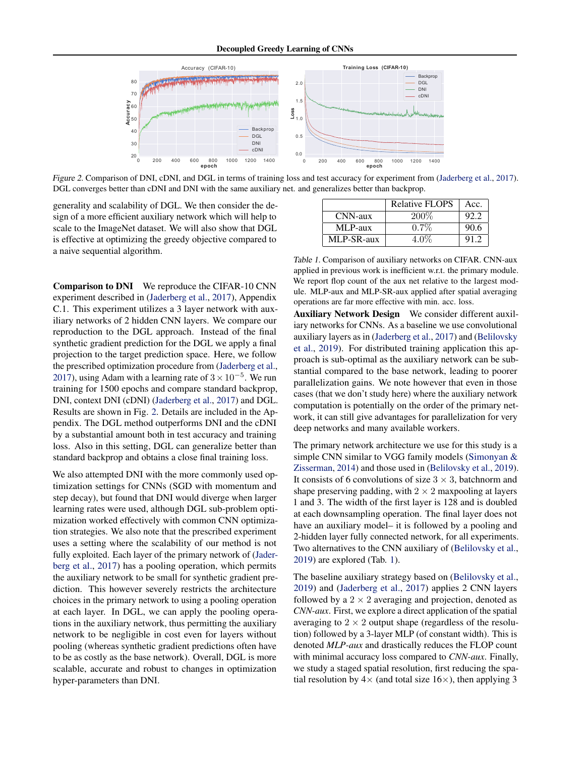

Figure 2. Comparison of DNI, cDNI, and DGL in terms of training loss and test accuracy for experiment from [\(Jaderberg et al.,](#page-8-0) [2017\)](#page-8-0). DGL converges better than cDNI and DNI with the same auxiliary net. and generalizes better than backprop.

generality and scalability of DGL. We then consider the design of a more efficient auxiliary network which will help to scale to the ImageNet dataset. We will also show that DGL is effective at optimizing the greedy objective compared to a naive sequential algorithm.

Comparison to DNI We reproduce the CIFAR-10 CNN experiment described in [\(Jaderberg et al.,](#page-8-0) [2017\)](#page-8-0), Appendix C.1. This experiment utilizes a 3 layer network with auxiliary networks of 2 hidden CNN layers. We compare our reproduction to the DGL approach. Instead of the final synthetic gradient prediction for the DGL we apply a final projection to the target prediction space. Here, we follow the prescribed optimization procedure from [\(Jaderberg et al.,](#page-8-0) [2017\)](#page-8-0), using Adam with a learning rate of  $3 \times 10^{-5}$ . We run training for 1500 epochs and compare standard backprop, DNI, context DNI (cDNI) [\(Jaderberg et al.,](#page-8-0) [2017\)](#page-8-0) and DGL. Results are shown in Fig. 2. Details are included in the Appendix. The DGL method outperforms DNI and the cDNI by a substantial amount both in test accuracy and training loss. Also in this setting, DGL can generalize better than standard backprop and obtains a close final training loss.

We also attempted DNI with the more commonly used optimization settings for CNNs (SGD with momentum and step decay), but found that DNI would diverge when larger learning rates were used, although DGL sub-problem optimization worked effectively with common CNN optimization strategies. We also note that the prescribed experiment uses a setting where the scalability of our method is not fully exploited. Each layer of the primary network of [\(Jader](#page-8-0)[berg et al.,](#page-8-0) [2017\)](#page-8-0) has a pooling operation, which permits the auxiliary network to be small for synthetic gradient prediction. This however severely restricts the architecture choices in the primary network to using a pooling operation at each layer. In DGL, we can apply the pooling operations in the auxiliary network, thus permitting the auxiliary network to be negligible in cost even for layers without pooling (whereas synthetic gradient predictions often have to be as costly as the base network). Overall, DGL is more scalable, accurate and robust to changes in optimization hyper-parameters than DNI.

|            | <b>Relative FLOPS</b> | Acc. |
|------------|-----------------------|------|
| CNN-aux    | $200\%$               | 92.2 |
| MLP-aux    | $0.7\%$               | 90.6 |
| MLP-SR-aux | 4.0%                  | 91.2 |

Table 1. Comparison of auxiliary networks on CIFAR. CNN-aux applied in previous work is inefficient w.r.t. the primary module. We report flop count of the aux net relative to the largest module. MLP-aux and MLP-SR-aux applied after spatial averaging operations are far more effective with min. acc. loss.

Auxiliary Network Design We consider different auxiliary networks for CNNs. As a baseline we use convolutional auxiliary layers as in [\(Jaderberg et al.,](#page-8-0) [2017\)](#page-8-0) and [\(Belilovsky](#page-8-0) [et al.,](#page-8-0) [2019\)](#page-8-0). For distributed training application this approach is sub-optimal as the auxiliary network can be substantial compared to the base network, leading to poorer parallelization gains. We note however that even in those cases (that we don't study here) where the auxiliary network computation is potentially on the order of the primary network, it can still give advantages for parallelization for very deep networks and many available workers.

The primary network architecture we use for this study is a simple CNN similar to VGG family models [\(Simonyan &](#page-9-0) [Zisserman,](#page-9-0) [2014\)](#page-9-0) and those used in [\(Belilovsky et al.,](#page-8-0) [2019\)](#page-8-0). It consists of 6 convolutions of size  $3 \times 3$ , batchnorm and shape preserving padding, with  $2 \times 2$  maxpooling at layers 1 and 3. The width of the first layer is 128 and is doubled at each downsampling operation. The final layer does not have an auxiliary model– it is followed by a pooling and 2-hidden layer fully connected network, for all experiments. Two alternatives to the CNN auxiliary of [\(Belilovsky et al.,](#page-8-0) [2019\)](#page-8-0) are explored (Tab. 1).

The baseline auxiliary strategy based on [\(Belilovsky et al.,](#page-8-0) [2019\)](#page-8-0) and [\(Jaderberg et al.,](#page-8-0) [2017\)](#page-8-0) applies 2 CNN layers followed by a  $2 \times 2$  averaging and projection, denoted as *CNN-aux*. First, we explore a direct application of the spatial averaging to  $2 \times 2$  output shape (regardless of the resolution) followed by a 3-layer MLP (of constant width). This is denoted *MLP-aux* and drastically reduces the FLOP count with minimal accuracy loss compared to *CNN-aux*. Finally, we study a staged spatial resolution, first reducing the spatial resolution by  $4 \times$  (and total size  $16 \times$ ), then applying 3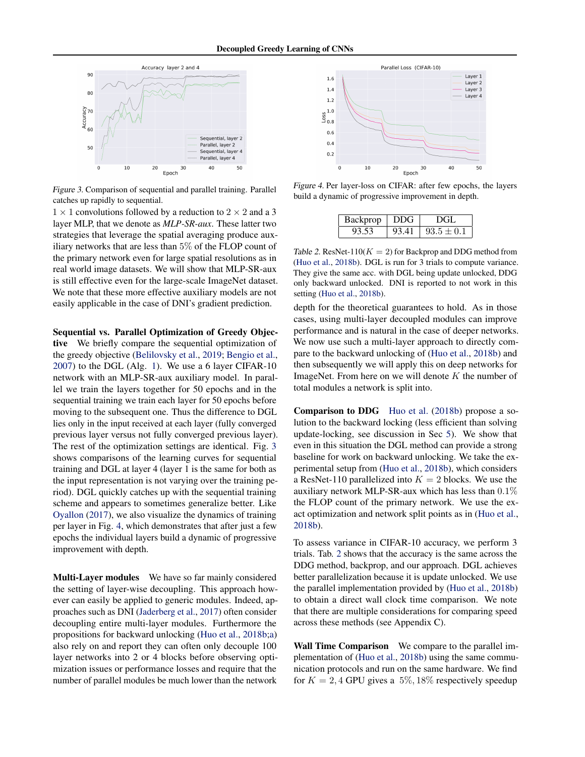

Figure 3. Comparison of sequential and parallel training. Parallel catches up rapidly to sequential.

 $1 \times 1$  convolutions followed by a reduction to  $2 \times 2$  and a 3 layer MLP, that we denote as *MLP-SR-aux*. These latter two strategies that leverage the spatial averaging produce auxiliary networks that are less than 5% of the FLOP count of the primary network even for large spatial resolutions as in real world image datasets. We will show that MLP-SR-aux is still effective even for the large-scale ImageNet dataset. We note that these more effective auxiliary models are not easily applicable in the case of DNI's gradient prediction.

Sequential vs. Parallel Optimization of Greedy Objective We briefly compare the sequential optimization of the greedy objective [\(Belilovsky et al.,](#page-8-0) [2019;](#page-8-0) [Bengio et al.,](#page-8-0) [2007\)](#page-8-0) to the DGL (Alg. [1\)](#page-1-0). We use a 6 layer CIFAR-10 network with an MLP-SR-aux auxiliary model. In parallel we train the layers together for 50 epochs and in the sequential training we train each layer for 50 epochs before moving to the subsequent one. Thus the difference to DGL lies only in the input received at each layer (fully converged previous layer versus not fully converged previous layer). The rest of the optimization settings are identical. Fig. 3 shows comparisons of the learning curves for sequential training and DGL at layer 4 (layer 1 is the same for both as the input representation is not varying over the training period). DGL quickly catches up with the sequential training scheme and appears to sometimes generalize better. Like [Oyallon](#page-9-0) [\(2017\)](#page-9-0), we also visualize the dynamics of training per layer in Fig. 4, which demonstrates that after just a few epochs the individual layers build a dynamic of progressive improvement with depth.

Multi-Layer modules We have so far mainly considered the setting of layer-wise decoupling. This approach however can easily be applied to generic modules. Indeed, approaches such as DNI [\(Jaderberg et al.,](#page-8-0) [2017\)](#page-8-0) often consider decoupling entire multi-layer modules. Furthermore the propositions for backward unlocking [\(Huo et al.,](#page-8-0) [2018b;a\)](#page-8-0) also rely on and report they can often only decouple 100 layer networks into 2 or 4 blocks before observing optimization issues or performance losses and require that the number of parallel modules be much lower than the network



Figure 4. Per layer-loss on CIFAR: after few epochs, the layers build a dynamic of progressive improvement in depth.

| Backprop | ∣ DDG | DGL            |
|----------|-------|----------------|
| 93.53    | 93.41 | $93.5 \pm 0.1$ |

Table 2. ResNet-110( $K = 2$ ) for Backprop and DDG method from [\(Huo et al.,](#page-8-0) [2018b\)](#page-8-0). DGL is run for 3 trials to compute variance. They give the same acc. with DGL being update unlocked, DDG only backward unlocked. DNI is reported to not work in this setting [\(Huo et al.,](#page-8-0) [2018b\)](#page-8-0).

depth for the theoretical guarantees to hold. As in those cases, using multi-layer decoupled modules can improve performance and is natural in the case of deeper networks. We now use such a multi-layer approach to directly compare to the backward unlocking of [\(Huo et al.,](#page-8-0) [2018b\)](#page-8-0) and then subsequently we will apply this on deep networks for ImageNet. From here on we will denote  $K$  the number of total modules a network is split into.

**Comparison to DDG** [Huo et al.](#page-8-0) [\(2018b\)](#page-8-0) propose a solution to the backward locking (less efficient than solving update-locking, see discussion in Sec [5\)](#page-6-0). We show that even in this situation the DGL method can provide a strong baseline for work on backward unlocking. We take the experimental setup from [\(Huo et al.,](#page-8-0) [2018b\)](#page-8-0), which considers a ResNet-110 parallelized into  $K = 2$  blocks. We use the auxiliary network MLP-SR-aux which has less than 0.1% the FLOP count of the primary network. We use the exact optimization and network split points as in [\(Huo et al.,](#page-8-0) [2018b\)](#page-8-0).

To assess variance in CIFAR-10 accuracy, we perform 3 trials. Tab. 2 shows that the accuracy is the same across the DDG method, backprop, and our approach. DGL achieves better parallelization because it is update unlocked. We use the parallel implementation provided by [\(Huo et al.,](#page-8-0) [2018b\)](#page-8-0) to obtain a direct wall clock time comparison. We note that there are multiple considerations for comparing speed across these methods (see Appendix C).

Wall Time Comparison We compare to the parallel implementation of [\(Huo et al.,](#page-8-0) [2018b\)](#page-8-0) using the same communication protocols and run on the same hardware. We find for  $K = 2, 4$  GPU gives a 5%, 18% respectively speedup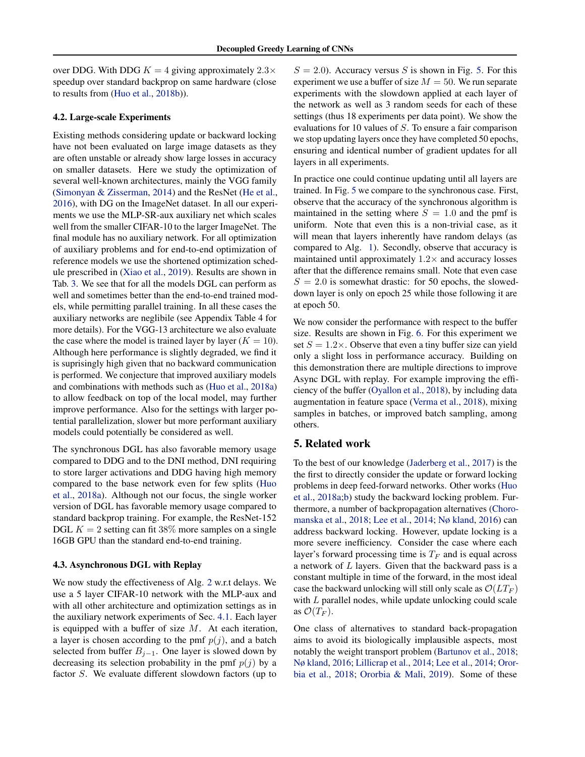<span id="page-6-0"></span>over DDG. With DDG  $K = 4$  giving approximately  $2.3 \times$ speedup over standard backprop on same hardware (close to results from [\(Huo et al.,](#page-8-0) [2018b\)](#page-8-0)).

#### 4.2. Large-scale Experiments

Existing methods considering update or backward locking have not been evaluated on large image datasets as they are often unstable or already show large losses in accuracy on smaller datasets. Here we study the optimization of several well-known architectures, mainly the VGG family [\(Simonyan & Zisserman,](#page-9-0) [2014\)](#page-9-0) and the ResNet [\(He et al.,](#page-8-0) [2016\)](#page-8-0), with DG on the ImageNet dataset. In all our experiments we use the MLP-SR-aux auxiliary net which scales well from the smaller CIFAR-10 to the larger ImageNet. The final module has no auxiliary network. For all optimization of auxiliary problems and for end-to-end optimization of reference models we use the shortened optimization schedule prescribed in [\(Xiao et al.,](#page-9-0) [2019\)](#page-9-0). Results are shown in Tab. [3.](#page-7-0) We see that for all the models DGL can perform as well and sometimes better than the end-to-end trained models, while permitting parallel training. In all these cases the auxiliary networks are neglibile (see Appendix Table 4 for more details). For the VGG-13 architecture we also evaluate the case where the model is trained layer by layer ( $K = 10$ ). Although here performance is slightly degraded, we find it is suprisingly high given that no backward communication is performed. We conjecture that improved auxiliary models and combinations with methods such as [\(Huo et al.,](#page-8-0) [2018a\)](#page-8-0) to allow feedback on top of the local model, may further improve performance. Also for the settings with larger potential parallelization, slower but more performant auxiliary models could potentially be considered as well.

The synchronous DGL has also favorable memory usage compared to DDG and to the DNI method, DNI requiring to store larger activations and DDG having high memory compared to the base network even for few splits [\(Huo](#page-8-0) [et al.,](#page-8-0) [2018a\)](#page-8-0). Although not our focus, the single worker version of DGL has favorable memory usage compared to standard backprop training. For example, the ResNet-152 DGL  $K = 2$  setting can fit 38% more samples on a single 16GB GPU than the standard end-to-end training.

#### 4.3. Asynchronous DGL with Replay

We now study the effectiveness of Alg. [2](#page-1-0) w.r.t delays. We use a 5 layer CIFAR-10 network with the MLP-aux and with all other architecture and optimization settings as in the auxiliary network experiments of Sec. [4.1.](#page-3-0) Each layer is equipped with a buffer of size  $M$ . At each iteration, a layer is chosen according to the pmf  $p(j)$ , and a batch selected from buffer  $B_{j-1}$ . One layer is slowed down by decreasing its selection probability in the pmf  $p(j)$  by a factor S. We evaluate different slowdown factors (up to

 $S = 2.0$ ). Accuracy versus S is shown in Fig. [5.](#page-7-0) For this experiment we use a buffer of size  $M = 50$ . We run separate experiments with the slowdown applied at each layer of the network as well as 3 random seeds for each of these settings (thus 18 experiments per data point). We show the evaluations for 10 values of S. To ensure a fair comparison we stop updating layers once they have completed 50 epochs, ensuring and identical number of gradient updates for all layers in all experiments.

In practice one could continue updating until all layers are trained. In Fig. [5](#page-7-0) we compare to the synchronous case. First, observe that the accuracy of the synchronous algorithm is maintained in the setting where  $S = 1.0$  and the pmf is uniform. Note that even this is a non-trivial case, as it will mean that layers inherently have random delays (as compared to Alg. [1\)](#page-1-0). Secondly, observe that accuracy is maintained until approximately  $1.2 \times$  and accuracy losses after that the difference remains small. Note that even case  $S = 2.0$  is somewhat drastic: for 50 epochs, the sloweddown layer is only on epoch 25 while those following it are at epoch 50.

We now consider the performance with respect to the buffer size. Results are shown in Fig. [6.](#page-7-0) For this experiment we set  $S = 1.2 \times$ . Observe that even a tiny buffer size can yield only a slight loss in performance accuracy. Building on this demonstration there are multiple directions to improve Async DGL with replay. For example improving the efficiency of the buffer [\(Oyallon et al.,](#page-9-0) [2018\)](#page-9-0), by including data augmentation in feature space [\(Verma et al.,](#page-9-0) [2018\)](#page-9-0), mixing samples in batches, or improved batch sampling, among others.

#### 5. Related work

To the best of our knowledge [\(Jaderberg et al.,](#page-8-0) [2017\)](#page-8-0) is the the first to directly consider the update or forward locking problems in deep feed-forward networks. Other works [\(Huo](#page-8-0) [et al.,](#page-8-0) [2018a;b\)](#page-8-0) study the backward locking problem. Furthermore, a number of backpropagation alternatives [\(Choro](#page-8-0)[manska et al.,](#page-8-0) [2018;](#page-8-0) [Lee et al.,](#page-9-0) [2014;](#page-9-0) [Nø kland,](#page-9-0) [2016\)](#page-9-0) can address backward locking. However, update locking is a more severe inefficiency. Consider the case where each layer's forward processing time is  $T_F$  and is equal across a network of L layers. Given that the backward pass is a constant multiple in time of the forward, in the most ideal case the backward unlocking will still only scale as  $\mathcal{O}(LT_F)$ with L parallel nodes, while update unlocking could scale as  $\mathcal{O}(T_F)$ .

One class of alternatives to standard back-propagation aims to avoid its biologically implausible aspects, most notably the weight transport problem [\(Bartunov et al.,](#page-8-0) [2018;](#page-8-0) [Nø kland,](#page-9-0) [2016;](#page-9-0) [Lillicrap et al.,](#page-9-0) [2014;](#page-9-0) [Lee et al.,](#page-9-0) [2014;](#page-9-0) [Oror](#page-9-0)[bia et al.,](#page-9-0) [2018;](#page-9-0) [Ororbia & Mali,](#page-9-0) [2019\)](#page-9-0). Some of these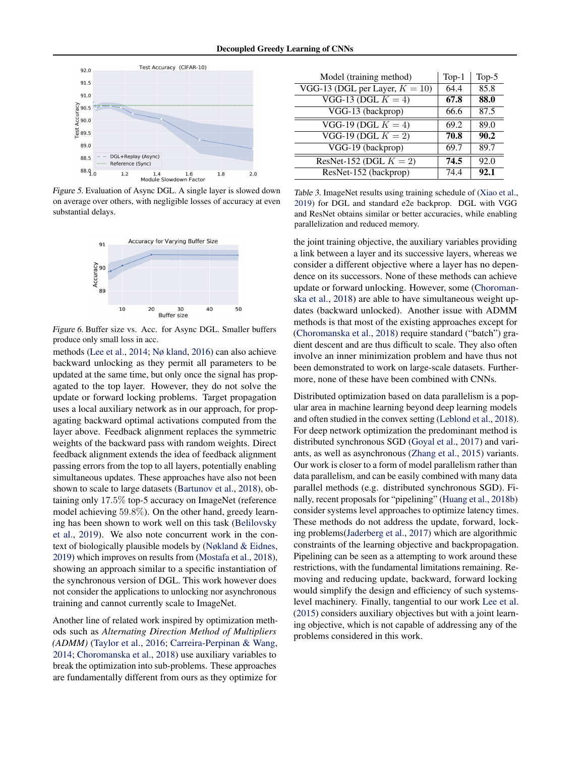<span id="page-7-0"></span>

Figure 5. Evaluation of Async DGL. A single layer is slowed down on average over others, with negligible losses of accuracy at even substantial delays.



Figure 6. Buffer size vs. Acc. for Async DGL. Smaller buffers produce only small loss in acc.

methods [\(Lee et al.,](#page-9-0) [2014;](#page-9-0) [Nø kland,](#page-9-0) [2016\)](#page-9-0) can also achieve backward unlocking as they permit all parameters to be updated at the same time, but only once the signal has propagated to the top layer. However, they do not solve the update or forward locking problems. Target propagation uses a local auxiliary network as in our approach, for propagating backward optimal activations computed from the layer above. Feedback alignment replaces the symmetric weights of the backward pass with random weights. Direct feedback alignment extends the idea of feedback alignment passing errors from the top to all layers, potentially enabling simultaneous updates. These approaches have also not been shown to scale to large datasets [\(Bartunov et al.,](#page-8-0) [2018\)](#page-8-0), obtaining only 17.5% top-5 accuracy on ImageNet (reference model achieving 59.8%). On the other hand, greedy learning has been shown to work well on this task [\(Belilovsky](#page-8-0) [et al.,](#page-8-0) [2019\)](#page-8-0). We also note concurrent work in the context of biologically plausible models by [\(Nøkland & Eidnes,](#page-9-0) [2019\)](#page-9-0) which improves on results from [\(Mostafa et al.,](#page-9-0) [2018\)](#page-9-0), showing an approach similar to a specific instantiation of the synchronous version of DGL. This work however does not consider the applications to unlocking nor asynchronous training and cannot currently scale to ImageNet.

Another line of related work inspired by optimization methods such as *Alternating Direction Method of Multipliers (ADMM)* [\(Taylor et al.,](#page-9-0) [2016;](#page-9-0) [Carreira-Perpinan & Wang,](#page-8-0) [2014;](#page-8-0) [Choromanska et al.,](#page-8-0) [2018\)](#page-8-0) use auxiliary variables to break the optimization into sub-problems. These approaches are fundamentally different from ours as they optimize for

| Model (training method)                             | $Top-1$ | Top- $5$ |
|-----------------------------------------------------|---------|----------|
| $\overline{\text{VGG-13 (DGL per Layer, } K = 10)}$ | 64.4    | 85.8     |
| VGG-13 (DGL $K = 4$ )                               | 67.8    | 88.0     |
| VGG-13 (backprop)                                   | 66.6    | 87.5     |
| VGG-19 (DGL $K = 4$ )                               | 69.2    | 89.0     |
| VGG-19 (DGL $K = 2$ )                               | 70.8    | 90.2     |
| VGG-19 (backprop)                                   | 69.7    | 89.7     |
| ResNet-152 (DGL $K = 2$ )                           | 74.5    | 92.0     |
| ResNet-152 (backprop)                               | 74.4    | 92.1     |

Table 3. ImageNet results using training schedule of [\(Xiao et al.,](#page-9-0) [2019\)](#page-9-0) for DGL and standard e2e backprop. DGL with VGG and ResNet obtains similar or better accuracies, while enabling parallelization and reduced memory.

the joint training objective, the auxiliary variables providing a link between a layer and its successive layers, whereas we consider a different objective where a layer has no dependence on its successors. None of these methods can achieve update or forward unlocking. However, some [\(Choroman](#page-8-0)[ska et al.,](#page-8-0) [2018\)](#page-8-0) are able to have simultaneous weight updates (backward unlocked). Another issue with ADMM methods is that most of the existing approaches except for [\(Choromanska et al.,](#page-8-0) [2018\)](#page-8-0) require standard ("batch") gradient descent and are thus difficult to scale. They also often involve an inner minimization problem and have thus not been demonstrated to work on large-scale datasets. Furthermore, none of these have been combined with CNNs.

Distributed optimization based on data parallelism is a popular area in machine learning beyond deep learning models and often studied in the convex setting [\(Leblond et al.,](#page-9-0) [2018\)](#page-9-0). For deep network optimization the predominant method is distributed synchronous SGD [\(Goyal et al.,](#page-8-0) [2017\)](#page-8-0) and variants, as well as asynchronous [\(Zhang et al.,](#page-9-0) [2015\)](#page-9-0) variants. Our work is closer to a form of model parallelism rather than data parallelism, and can be easily combined with many data parallel methods (e.g. distributed synchronous SGD). Finally, recent proposals for "pipelining" [\(Huang et al.,](#page-8-0) [2018b\)](#page-8-0) consider systems level approaches to optimize latency times. These methods do not address the update, forward, locking problems[\(Jaderberg et al.,](#page-8-0) [2017\)](#page-8-0) which are algorithmic constraints of the learning objective and backpropagation. Pipelining can be seen as a attempting to work around these restrictions, with the fundamental limitations remaining. Removing and reducing update, backward, forward locking would simplify the design and efficiency of such systemslevel machinery. Finally, tangential to our work [Lee et al.](#page-9-0) [\(2015\)](#page-9-0) considers auxiliary objectives but with a joint learning objective, which is not capable of addressing any of the problems considered in this work.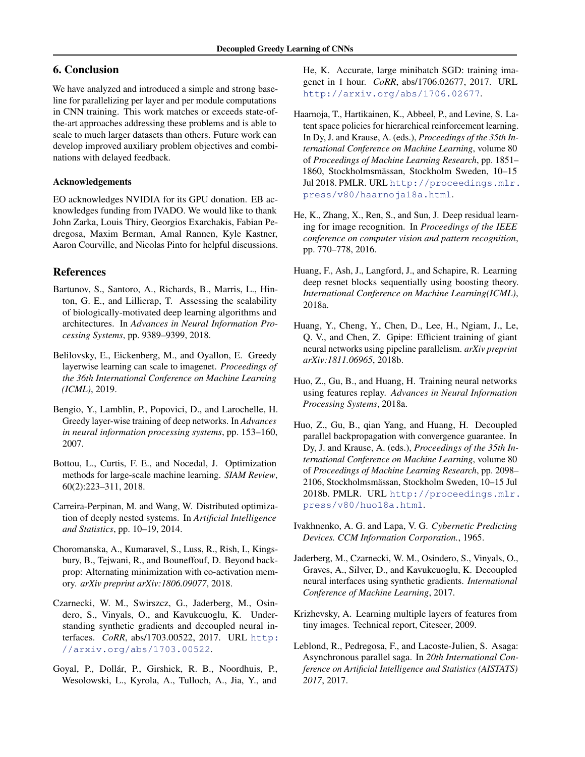# <span id="page-8-0"></span>6. Conclusion

We have analyzed and introduced a simple and strong baseline for parallelizing per layer and per module computations in CNN training. This work matches or exceeds state-ofthe-art approaches addressing these problems and is able to scale to much larger datasets than others. Future work can develop improved auxiliary problem objectives and combinations with delayed feedback.

### Acknowledgements

EO acknowledges NVIDIA for its GPU donation. EB acknowledges funding from IVADO. We would like to thank John Zarka, Louis Thiry, Georgios Exarchakis, Fabian Pedregosa, Maxim Berman, Amal Rannen, Kyle Kastner, Aaron Courville, and Nicolas Pinto for helpful discussions.

### References

- Bartunov, S., Santoro, A., Richards, B., Marris, L., Hinton, G. E., and Lillicrap, T. Assessing the scalability of biologically-motivated deep learning algorithms and architectures. In *Advances in Neural Information Processing Systems*, pp. 9389–9399, 2018.
- Belilovsky, E., Eickenberg, M., and Oyallon, E. Greedy layerwise learning can scale to imagenet. *Proceedings of the 36th International Conference on Machine Learning (ICML)*, 2019.
- Bengio, Y., Lamblin, P., Popovici, D., and Larochelle, H. Greedy layer-wise training of deep networks. In *Advances in neural information processing systems*, pp. 153–160, 2007.
- Bottou, L., Curtis, F. E., and Nocedal, J. Optimization methods for large-scale machine learning. *SIAM Review*, 60(2):223–311, 2018.
- Carreira-Perpinan, M. and Wang, W. Distributed optimization of deeply nested systems. In *Artificial Intelligence and Statistics*, pp. 10–19, 2014.
- Choromanska, A., Kumaravel, S., Luss, R., Rish, I., Kingsbury, B., Tejwani, R., and Bouneffouf, D. Beyond backprop: Alternating minimization with co-activation memory. *arXiv preprint arXiv:1806.09077*, 2018.
- Czarnecki, W. M., Swirszcz, G., Jaderberg, M., Osindero, S., Vinyals, O., and Kavukcuoglu, K. Understanding synthetic gradients and decoupled neural interfaces. *CoRR*, abs/1703.00522, 2017. URL [http:](http://arxiv.org/abs/1703.00522) [//arxiv.org/abs/1703.00522](http://arxiv.org/abs/1703.00522).
- Goyal, P., Dollár, P., Girshick, R. B., Noordhuis, P., Wesolowski, L., Kyrola, A., Tulloch, A., Jia, Y., and

He, K. Accurate, large minibatch SGD: training imagenet in 1 hour. *CoRR*, abs/1706.02677, 2017. URL <http://arxiv.org/abs/1706.02677>.

- Haarnoja, T., Hartikainen, K., Abbeel, P., and Levine, S. Latent space policies for hierarchical reinforcement learning. In Dy, J. and Krause, A. (eds.), *Proceedings of the 35th International Conference on Machine Learning*, volume 80 of *Proceedings of Machine Learning Research*, pp. 1851– 1860, Stockholmsmässan, Stockholm Sweden, 10–15 Jul 2018. PMLR. URL [http://proceedings.mlr.](http://proceedings.mlr.press/v80/haarnoja18a.html) [press/v80/haarnoja18a.html](http://proceedings.mlr.press/v80/haarnoja18a.html).
- He, K., Zhang, X., Ren, S., and Sun, J. Deep residual learning for image recognition. In *Proceedings of the IEEE conference on computer vision and pattern recognition*, pp. 770–778, 2016.
- Huang, F., Ash, J., Langford, J., and Schapire, R. Learning deep resnet blocks sequentially using boosting theory. *International Conference on Machine Learning(ICML)*, 2018a.
- Huang, Y., Cheng, Y., Chen, D., Lee, H., Ngiam, J., Le, Q. V., and Chen, Z. Gpipe: Efficient training of giant neural networks using pipeline parallelism. *arXiv preprint arXiv:1811.06965*, 2018b.
- Huo, Z., Gu, B., and Huang, H. Training neural networks using features replay. *Advances in Neural Information Processing Systems*, 2018a.
- Huo, Z., Gu, B., qian Yang, and Huang, H. Decoupled parallel backpropagation with convergence guarantee. In Dy, J. and Krause, A. (eds.), *Proceedings of the 35th International Conference on Machine Learning*, volume 80 of *Proceedings of Machine Learning Research*, pp. 2098– 2106, Stockholmsmassan, Stockholm Sweden, 10–15 Jul ¨ 2018b. PMLR. URL [http://proceedings.mlr.](http://proceedings.mlr.press/v80/huo18a.html) [press/v80/huo18a.html](http://proceedings.mlr.press/v80/huo18a.html).
- Ivakhnenko, A. G. and Lapa, V. G. *Cybernetic Predicting Devices. CCM Information Corporation.*, 1965.
- Jaderberg, M., Czarnecki, W. M., Osindero, S., Vinyals, O., Graves, A., Silver, D., and Kavukcuoglu, K. Decoupled neural interfaces using synthetic gradients. *International Conference of Machine Learning*, 2017.
- Krizhevsky, A. Learning multiple layers of features from tiny images. Technical report, Citeseer, 2009.
- Leblond, R., Pedregosa, F., and Lacoste-Julien, S. Asaga: Asynchronous parallel saga. In *20th International Conference on Artificial Intelligence and Statistics (AISTATS) 2017*, 2017.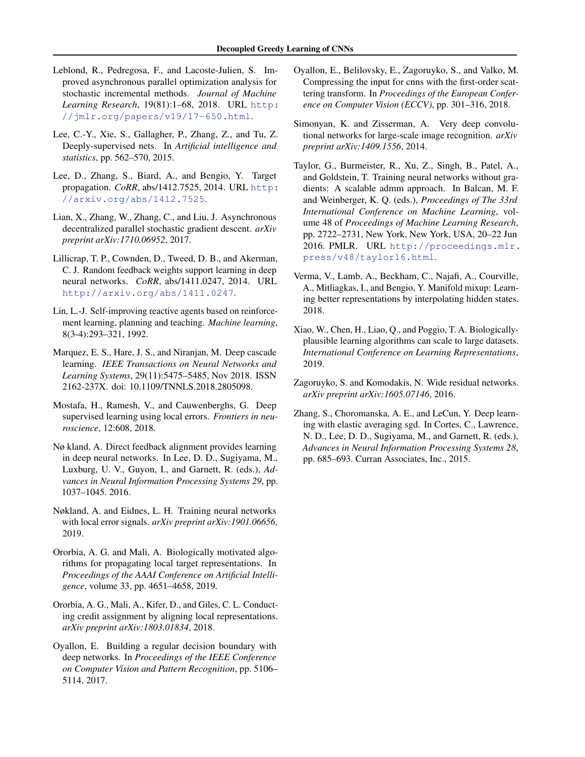- <span id="page-9-0"></span>Leblond, R., Pedregosa, F., and Lacoste-Julien, S. Improved asynchronous parallel optimization analysis for stochastic incremental methods. *Journal of Machine Learning Research*, 19(81):1–68, 2018. URL [http:](http://jmlr.org/papers/v19/17-650.html) [//jmlr.org/papers/v19/17-650.html](http://jmlr.org/papers/v19/17-650.html).
- Lee, C.-Y., Xie, S., Gallagher, P., Zhang, Z., and Tu, Z. Deeply-supervised nets. In *Artificial intelligence and statistics*, pp. 562–570, 2015.
- Lee, D., Zhang, S., Biard, A., and Bengio, Y. Target propagation. *CoRR*, abs/1412.7525, 2014. URL [http:](http://arxiv.org/abs/1412.7525) [//arxiv.org/abs/1412.7525](http://arxiv.org/abs/1412.7525).
- Lian, X., Zhang, W., Zhang, C., and Liu, J. Asynchronous decentralized parallel stochastic gradient descent. *arXiv preprint arXiv:1710.06952*, 2017.
- Lillicrap, T. P., Cownden, D., Tweed, D. B., and Akerman, C. J. Random feedback weights support learning in deep neural networks. *CoRR*, abs/1411.0247, 2014. URL <http://arxiv.org/abs/1411.0247>.
- Lin, L.-J. Self-improving reactive agents based on reinforcement learning, planning and teaching. *Machine learning*, 8(3-4):293–321, 1992.
- Marquez, E. S., Hare, J. S., and Niranjan, M. Deep cascade learning. *IEEE Transactions on Neural Networks and Learning Systems*, 29(11):5475–5485, Nov 2018. ISSN 2162-237X. doi: 10.1109/TNNLS.2018.2805098.
- Mostafa, H., Ramesh, V., and Cauwenberghs, G. Deep supervised learning using local errors. *Frontiers in neuroscience*, 12:608, 2018.
- Nø kland, A. Direct feedback alignment provides learning in deep neural networks. In Lee, D. D., Sugiyama, M., Luxburg, U. V., Guyon, I., and Garnett, R. (eds.), *Advances in Neural Information Processing Systems 29*, pp. 1037–1045. 2016.
- Nøkland, A. and Eidnes, L. H. Training neural networks with local error signals. *arXiv preprint arXiv:1901.06656*, 2019.
- Ororbia, A. G. and Mali, A. Biologically motivated algorithms for propagating local target representations. In *Proceedings of the AAAI Conference on Artificial Intelligence*, volume 33, pp. 4651–4658, 2019.
- Ororbia, A. G., Mali, A., Kifer, D., and Giles, C. L. Conducting credit assignment by aligning local representations. *arXiv preprint arXiv:1803.01834*, 2018.
- Oyallon, E. Building a regular decision boundary with deep networks. In *Proceedings of the IEEE Conference on Computer Vision and Pattern Recognition*, pp. 5106– 5114, 2017.
- Oyallon, E., Belilovsky, E., Zagoruyko, S., and Valko, M. Compressing the input for cnns with the first-order scattering transform. In *Proceedings of the European Conference on Computer Vision (ECCV)*, pp. 301–316, 2018.
- Simonyan, K. and Zisserman, A. Very deep convolutional networks for large-scale image recognition. *arXiv preprint arXiv:1409.1556*, 2014.
- Taylor, G., Burmeister, R., Xu, Z., Singh, B., Patel, A., and Goldstein, T. Training neural networks without gradients: A scalable admm approach. In Balcan, M. F. and Weinberger, K. Q. (eds.), *Proceedings of The 33rd International Conference on Machine Learning*, volume 48 of *Proceedings of Machine Learning Research*, pp. 2722–2731, New York, New York, USA, 20–22 Jun 2016. PMLR. URL [http://proceedings.mlr.](http://proceedings.mlr.press/v48/taylor16.html) [press/v48/taylor16.html](http://proceedings.mlr.press/v48/taylor16.html).
- Verma, V., Lamb, A., Beckham, C., Najafi, A., Courville, A., Mitliagkas, I., and Bengio, Y. Manifold mixup: Learning better representations by interpolating hidden states. 2018.
- Xiao, W., Chen, H., Liao, Q., and Poggio, T. A. Biologicallyplausible learning algorithms can scale to large datasets. *International Conference on Learning Representations*, 2019.
- Zagoruyko, S. and Komodakis, N. Wide residual networks. *arXiv preprint arXiv:1605.07146*, 2016.
- Zhang, S., Choromanska, A. E., and LeCun, Y. Deep learning with elastic averaging sgd. In Cortes, C., Lawrence, N. D., Lee, D. D., Sugiyama, M., and Garnett, R. (eds.), *Advances in Neural Information Processing Systems 28*, pp. 685–693. Curran Associates, Inc., 2015.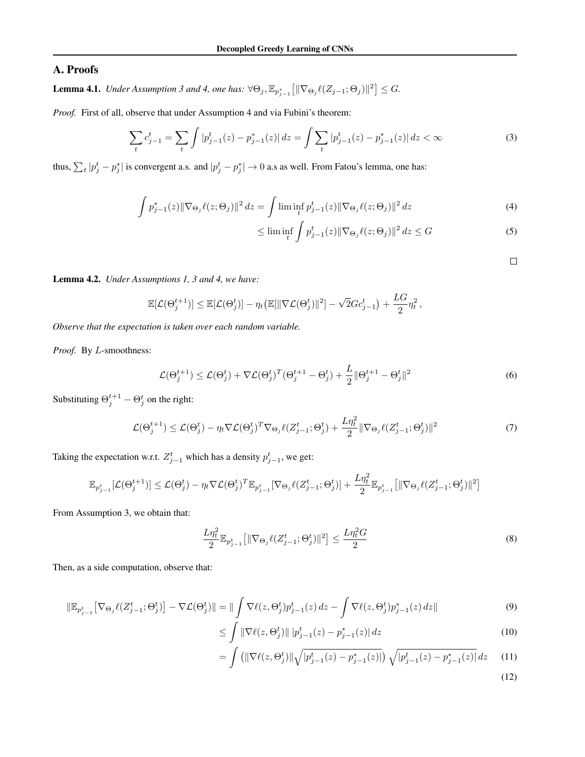# A. Proofs

**Lemma 4.1.** *Under Assumption 3 and 4, one has:*  $\forall \Theta_j$ ,  $\mathbb{E}_{p_{j-1}^*} [\|\nabla_{\Theta_j} \ell(Z_{j-1}; \Theta_j)\|^2] \leq G$ .

*Proof.* First of all, observe that under Assumption 4 and via Fubini's theorem:

$$
\sum_{t} c_{j-1}^{t} = \sum_{t} \int |p_{j-1}^{t}(z) - p_{j-1}^{*}(z)| dz = \int \sum_{t} |p_{j-1}^{t}(z) - p_{j-1}^{*}(z)| dz < \infty
$$
\n(3)

thus,  $\sum_t |p_j^t - p_j^*|$  is convergent a.s. and  $|p_j^t - p_j^*| \to 0$  a.s as well. From Fatou's lemma, one has:

$$
\int p_{j-1}^{*}(z) \|\nabla_{\Theta_j} \ell(z; \Theta_j)\|^2 dz = \int \liminf_{t} p_{j-1}^{t}(z) \|\nabla_{\Theta_j} \ell(z; \Theta_j)\|^2 dz
$$
\n(4)

$$
\leq \liminf_{t} \int p_{j-1}^t(z) \|\nabla_{\Theta_j} \ell(z; \Theta_j)\|^2 dz \leq G \tag{5}
$$

 $\Box$ 

Lemma 4.2. *Under Assumptions 1, 3 and 4, we have:*

$$
\mathbb{E}[\mathcal{L}(\Theta_j^{t+1})] \leq \mathbb{E}[\mathcal{L}(\Theta_j^{t})] - \eta_t \big(\mathbb{E}[\|\nabla \mathcal{L}(\Theta_j^{t})\|^2] - \sqrt{2} G c_{j-1}^t \big) + \frac{LG}{2} \eta_t^2,
$$

*Observe that the expectation is taken over each random variable.*

*Proof.* By L-smoothness:

$$
\mathcal{L}(\Theta_j^{t+1}) \le \mathcal{L}(\Theta_j^t) + \nabla \mathcal{L}(\Theta_j^t)^T (\Theta_j^{t+1} - \Theta_j^t) + \frac{L}{2} \|\Theta_j^{t+1} - \Theta_j^t\|^2 \tag{6}
$$

Substituting  $\Theta_j^{t+1} - \Theta_j^t$  on the right:

$$
\mathcal{L}(\Theta_j^{t+1}) \le \mathcal{L}(\Theta_j^t) - \eta_t \nabla \mathcal{L}(\Theta_j^t)^T \nabla_{\Theta_j} \ell(Z_{j-1}^t; \Theta_j^t) + \frac{L\eta_t^2}{2} \|\nabla_{\Theta_j} \ell(Z_{j-1}^t; \Theta_j^t)\|^2
$$
\n<sup>(7)</sup>

Taking the expectation w.r.t.  $Z_{j-1}^t$  which has a density  $p_{j-1}^t$ , we get:

$$
\mathbb{E}_{p_{j-1}^t}[\mathcal{L}(\Theta_j^{t+1})] \leq \mathcal{L}(\Theta_j^{t}) - \eta_t \nabla \mathcal{L}(\Theta_j^{t})^T \mathbb{E}_{p_{j-1}^t}[\nabla_{\Theta_j} \ell(Z_{j-1}^t; \Theta_j^t)] + \frac{L\eta_t^2}{2} \mathbb{E}_{p_{j-1}^t}\big[\|\nabla_{\Theta_j} \ell(Z_{j-1}^t; \Theta_j^t)\|^2\big]
$$

From Assumption 3, we obtain that:

$$
\frac{L\eta_t^2}{2} \mathbb{E}_{p_{j-1}^t} [\|\nabla_{\Theta_j} \ell(Z_{j-1}^t; \Theta_j^t) \|^2] \le \frac{L\eta_t^2 G}{2}
$$
\n(8)

Then, as a side computation, observe that:

$$
\|\mathbb{E}_{p_{j-1}^t}[\nabla_{\Theta_j}\ell(Z_{j-1}^t;\Theta_j^t)] - \nabla\mathcal{L}(\Theta_j^t)\| = \|\int_{\Omega} \nabla\ell(z,\Theta_j^t)p_{j-1}^t(z)\,dz - \int_{\Omega} \nabla\ell(z,\Theta_j^t)p_{j-1}^*(z)\,dz\|
$$
\n(9)

$$
\leq \int \|\nabla \ell(z, \Theta_j^t)\| |p_{j-1}^t(z) - p_{j-1}^*(z)| dz \tag{10}
$$

$$
= \int \left( \|\nabla \ell(z, \Theta_j^t)\| \sqrt{|p_{j-1}^t(z) - p_{j-1}^*(z)|} \right) \sqrt{|p_{j-1}^t(z) - p_{j-1}^*(z)|} \, dz \tag{11}
$$

(12)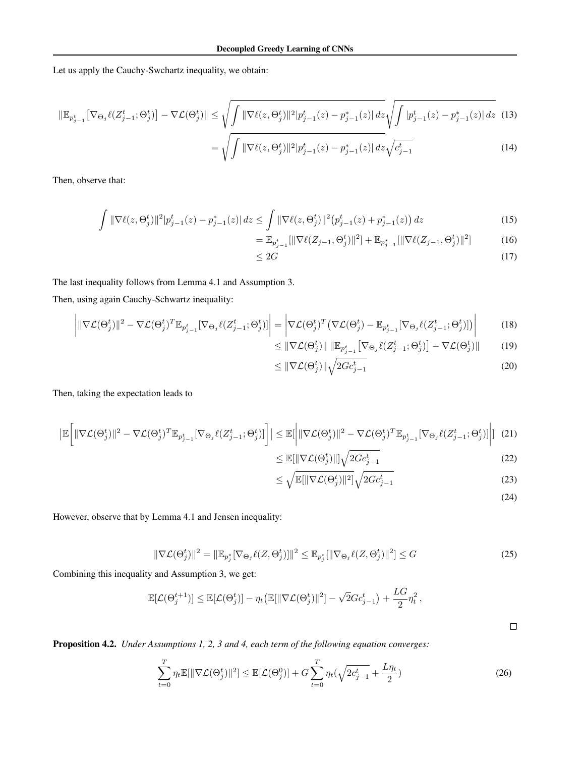Let us apply the Cauchy-Swchartz inequality, we obtain:

$$
\|\mathbb{E}_{p_{j-1}^t}[\nabla_{\Theta_j}\ell(Z_{j-1}^t;\Theta_j^t)] - \nabla\mathcal{L}(\Theta_j^t)\| \le \sqrt{\int \|\nabla\ell(z,\Theta_j^t)\|^2 |p_{j-1}^t(z) - p_{j-1}^*(z)| \, dz} \sqrt{\int |p_{j-1}^t(z) - p_{j-1}^*(z)| \, dz} \tag{13}
$$
\n
$$
= \sqrt{\int \|\nabla\ell(z,\Theta_j^t)\|^2 |p_{j-1}^t(z) - p_{j-1}^*(z)| \, dz} \sqrt{c_{j-1}^t} \tag{14}
$$

Then, observe that:

$$
\int \|\nabla \ell(z, \Theta_j^t)\|^2 |p_{j-1}^t(z) - p_{j-1}^*(z)| \, dz \le \int \|\nabla \ell(z, \Theta_j^t)\|^2 (p_{j-1}^t(z) + p_{j-1}^*(z)) \, dz \tag{15}
$$

$$
= \mathbb{E}_{p_{j-1}^t}[\|\nabla \ell(Z_{j-1}, \Theta_j^t)\|^2] + \mathbb{E}_{p_{j-1}^*}[\|\nabla \ell(Z_{j-1}, \Theta_j^t)\|^2] \tag{16}
$$

$$
\leq 2G\tag{17}
$$

The last inequality follows from Lemma 4.1 and Assumption 3.

Then, using again Cauchy-Schwartz inequality:

$$
\left| \|\nabla \mathcal{L}(\Theta_j^t)\|^2 - \nabla \mathcal{L}(\Theta_j^t)^T \mathbb{E}_{p_{j-1}^t} [\nabla_{\Theta_j} \ell(Z_{j-1}^t; \Theta_j^t)] \right| = \left| \nabla \mathcal{L}(\Theta_j^t)^T \left( \nabla \mathcal{L}(\Theta_j^t) - \mathbb{E}_{p_{j-1}^t} [\nabla_{\Theta_j} \ell(Z_{j-1}^t; \Theta_j^t)] \right) \right| \tag{18}
$$

$$
\leq \|\nabla \mathcal{L}(\Theta_j^t)\| \|\mathbb{E}_{p_{j-1}^t} [\nabla_{\Theta_j} \ell(Z_{j-1}^t; \Theta_j^t)] - \nabla \mathcal{L}(\Theta_j^t)\| \qquad (19)
$$

$$
\leq \|\nabla \mathcal{L}(\Theta_j^t)\| \sqrt{2Gc_{j-1}^t} \tag{20}
$$

Then, taking the expectation leads to

$$
\left| \mathbb{E} \left[ \|\nabla \mathcal{L}(\Theta_j^t) \|^2 - \nabla \mathcal{L}(\Theta_j^t)^T \mathbb{E}_{p_{j-1}^t} [\nabla_{\Theta_j} \ell(Z_{j-1}^t; \Theta_j^t)] \right] \right| \leq \mathbb{E} \left[ \left| \|\nabla \mathcal{L}(\Theta_j^t) \|^2 - \nabla \mathcal{L}(\Theta_j^t)^T \mathbb{E}_{p_{j-1}^t} [\nabla_{\Theta_j} \ell(Z_{j-1}^t; \Theta_j^t)] \right| \right]
$$
(21)

$$
\leq \mathbb{E}[\|\nabla \mathcal{L}(\Theta_j^t)\|] \sqrt{2Gc_{j-1}^t} \tag{22}
$$

$$
\leq \sqrt{\mathbb{E}[\|\nabla \mathcal{L}(\Theta_j^t)\|^2]} \sqrt{2Gc_{j-1}^t} \tag{23}
$$

(24)

However, observe that by Lemma 4.1 and Jensen inequality:

$$
\|\nabla \mathcal{L}(\Theta_j^t)\|^2 = \|\mathbb{E}_{p_j^*}[\nabla_{\Theta_j}\ell(Z,\Theta_j^t)]\|^2 \le \mathbb{E}_{p_j^*}[\|\nabla_{\Theta_j}\ell(Z,\Theta_j^t)\|^2] \le G \tag{25}
$$

Combining this inequality and Assumption 3, we get:

$$
\mathbb{E}[\mathcal{L}(\Theta_j^{t+1})] \leq \mathbb{E}[\mathcal{L}(\Theta_j^{t})] - \eta_t \big(\mathbb{E}[\|\nabla \mathcal{L}(\Theta_j^{t})\|^2] - \sqrt{2} G c_{j-1}^t \big) + \frac{LG}{2} \eta_t^2,
$$

 $\Box$ 

Proposition 4.2. *Under Assumptions 1, 2, 3 and 4, each term of the following equation converges:*

$$
\sum_{t=0}^{T} \eta_t \mathbb{E}[\|\nabla \mathcal{L}(\Theta_j^t)\|^2] \le \mathbb{E}[\mathcal{L}(\Theta_j^0)] + G \sum_{t=0}^{T} \eta_t(\sqrt{2c_{j-1}^t} + \frac{L\eta_t}{2})
$$
\n(26)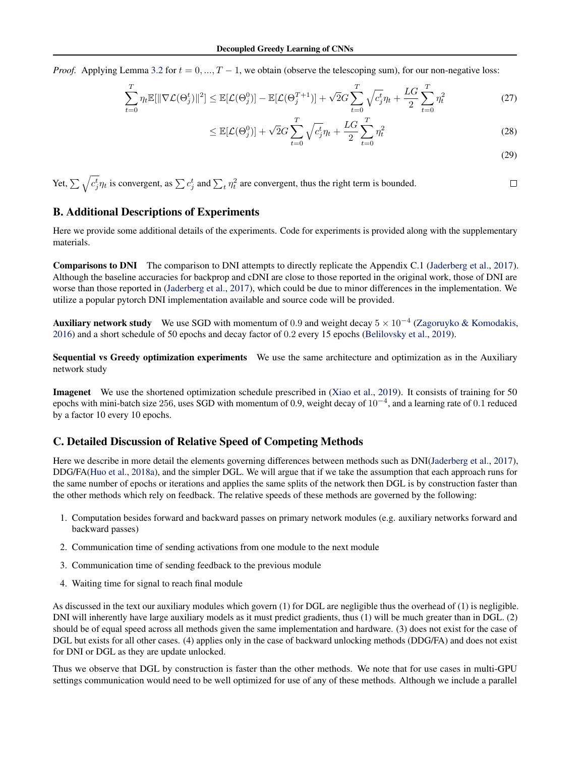*Proof.* Applying Lemma [3.2](#page-3-0) for  $t = 0, ..., T - 1$ , we obtain (observe the telescoping sum), for our non-negative loss:

$$
\sum_{t=0}^{T} \eta_t \mathbb{E}[\|\nabla \mathcal{L}(\Theta_j^t)\|^2] \le \mathbb{E}[\mathcal{L}(\Theta_j^0)] - \mathbb{E}[\mathcal{L}(\Theta_j^{T+1})] + \sqrt{2}G \sum_{t=0}^{T} \sqrt{c_j^t} \eta_t + \frac{LG}{2} \sum_{t=0}^{T} \eta_t^2
$$
\n(27)

$$
\leq \mathbb{E}[\mathcal{L}(\Theta_j^0)] + \sqrt{2}G \sum_{t=0}^T \sqrt{c_j^t} \eta_t + \frac{LG}{2} \sum_{t=0}^T \eta_t^2
$$
\n(28)

(29)

Yet, 
$$
\sum \sqrt{c_j^t} \eta_t
$$
 is convergent, as  $\sum c_j^t$  and  $\sum_t \eta_t^2$  are convergent, thus the right term is bounded.

# B. Additional Descriptions of Experiments

Here we provide some additional details of the experiments. Code for experiments is provided along with the supplementary materials.

Comparisons to DNI The comparison to DNI attempts to directly replicate the Appendix C.1 [\(Jaderberg et al.,](#page-8-0) [2017\)](#page-8-0). Although the baseline accuracies for backprop and cDNI are close to those reported in the original work, those of DNI are worse than those reported in [\(Jaderberg et al.,](#page-8-0) [2017\)](#page-8-0), which could be due to minor differences in the implementation. We utilize a popular pytorch DNI implementation available and source code will be provided.

Auxiliary network study We use SGD with momentum of 0.9 and weight decay  $5 \times 10^{-4}$  [\(Zagoruyko & Komodakis,](#page-9-0) [2016\)](#page-9-0) and a short schedule of 50 epochs and decay factor of 0.2 every 15 epochs [\(Belilovsky et al.,](#page-8-0) [2019\)](#page-8-0).

Sequential vs Greedy optimization experiments We use the same architecture and optimization as in the Auxiliary network study

Imagenet We use the shortened optimization schedule prescribed in [\(Xiao et al.,](#page-9-0) [2019\)](#page-9-0). It consists of training for 50 epochs with mini-batch size 256, uses SGD with momentum of 0.9, weight decay of  $10^{-4}$ , and a learning rate of 0.1 reduced by a factor 10 every 10 epochs.

# C. Detailed Discussion of Relative Speed of Competing Methods

Here we describe in more detail the elements governing differences between methods such as DNI[\(Jaderberg et al.,](#page-8-0) [2017\)](#page-8-0), DDG/FA[\(Huo et al.,](#page-8-0) [2018a\)](#page-8-0), and the simpler DGL. We will argue that if we take the assumption that each approach runs for the same number of epochs or iterations and applies the same splits of the network then DGL is by construction faster than the other methods which rely on feedback. The relative speeds of these methods are governed by the following:

- 1. Computation besides forward and backward passes on primary network modules (e.g. auxiliary networks forward and backward passes)
- 2. Communication time of sending activations from one module to the next module
- 3. Communication time of sending feedback to the previous module
- 4. Waiting time for signal to reach final module

As discussed in the text our auxiliary modules which govern (1) for DGL are negligible thus the overhead of (1) is negligible. DNI will inherently have large auxiliary models as it must predict gradients, thus (1) will be much greater than in DGL. (2) should be of equal speed across all methods given the same implementation and hardware. (3) does not exist for the case of DGL but exists for all other cases. (4) applies only in the case of backward unlocking methods (DDG/FA) and does not exist for DNI or DGL as they are update unlocked.

Thus we observe that DGL by construction is faster than the other methods. We note that for use cases in multi-GPU settings communication would need to be well optimized for use of any of these methods. Although we include a parallel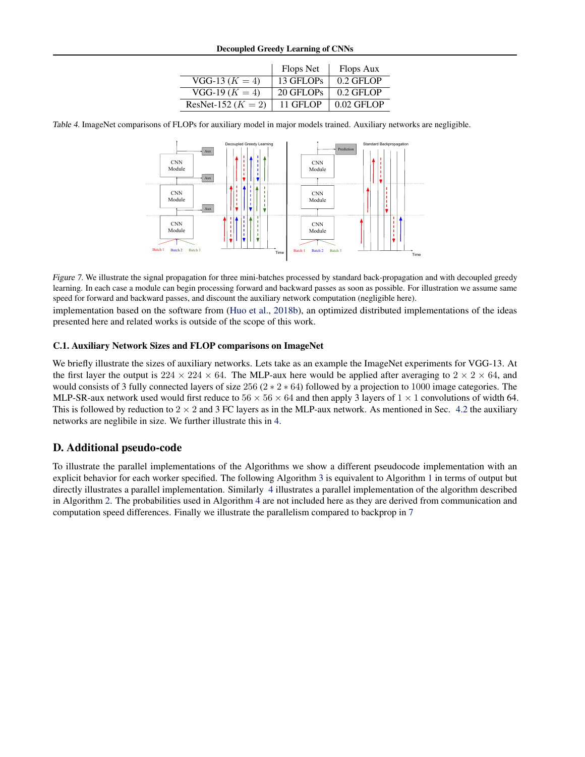|                        | Flops Net | Flops Aux    |
|------------------------|-----------|--------------|
| $VGG-13 (K = 4)$       | 13 GFLOPs | $0.2$ GFLOP  |
| $VGG-19 (K = 4)$       | 20 GFLOPs | $0.2$ GFLOP  |
| ResNet-152 ( $K = 2$ ) | 11 GFLOP  | $0.02$ GFLOP |

Table 4. ImageNet comparisons of FLOPs for auxiliary model in major models trained. Auxiliary networks are negligible.



Figure 7. We illustrate the signal propagation for three mini-batches processed by standard back-propagation and with decoupled greedy learning. In each case a module can begin processing forward and backward passes as soon as possible. For illustration we assume same speed for forward and backward passes, and discount the auxiliary network computation (negligible here).

implementation based on the software from [\(Huo et al.,](#page-8-0) [2018b\)](#page-8-0), an optimized distributed implementations of the ideas presented here and related works is outside of the scope of this work.

#### C.1. Auxiliary Network Sizes and FLOP comparisons on ImageNet

We briefly illustrate the sizes of auxiliary networks. Lets take as an example the ImageNet experiments for VGG-13. At the first layer the output is  $224 \times 224 \times 64$ . The MLP-aux here would be applied after averaging to  $2 \times 2 \times 64$ , and would consists of 3 fully connected layers of size  $256 (2 * 2 * 64)$  followed by a projection to 1000 image categories. The MLP-SR-aux network used would first reduce to  $56 \times 56 \times 64$  and then apply 3 layers of  $1 \times 1$  convolutions of width 64. This is followed by reduction to  $2 \times 2$  and 3 FC layers as in the MLP-aux network. As mentioned in Sec. [4.2](#page-6-0) the auxiliary networks are neglibile in size. We further illustrate this in 4.

### D. Additional pseudo-code

To illustrate the parallel implementations of the Algorithms we show a different pseudocode implementation with an explicit behavior for each worker specified. The following Algorithm [3](#page-14-0) is equivalent to Algorithm [1](#page-1-0) in terms of output but directly illustrates a parallel implementation. Similarly [4](#page-14-0) illustrates a parallel implementation of the algorithm described in Algorithm [2.](#page-1-0) The probabilities used in Algorithm [4](#page-14-0) are not included here as they are derived from communication and computation speed differences. Finally we illustrate the parallelism compared to backprop in 7